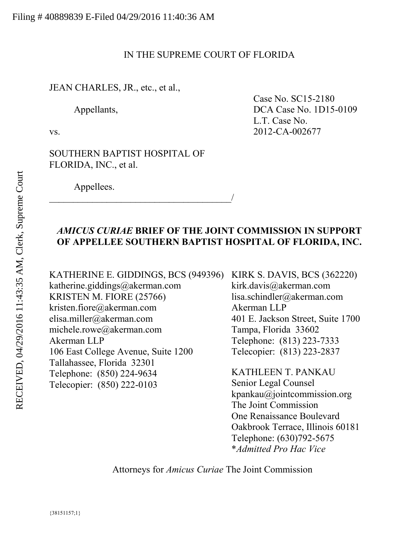### IN THE SUPREME COURT OF FLORIDA

### JEAN CHARLES, JR., etc., et al.,

SOUTHERN BAPTIST HOSPITAL OF FLORIDA, INC., et al.

 $\overline{\phantom{a}}$ 

Appellees.

Case No. SC15-2180 Appellants,  $DCA Case No. 1D15-0109$ L.T. Case No. vs. 2012-CA-002677

## *AMICUS CURIAE* **BRIEF OF THE JOINT COMMISSION IN SUPPORT OF APPELLEE SOUTHERN BAPTIST HOSPITAL OF FLORIDA, INC.**

katherine.giddings@akerman.com KRISTEN M. FIORE (25766) kristen.fiore@akerman.com elisa.miller@akerman.com michele.rowe@akerman.com Akerman LLP 106 East College Avenue, Suite 1200 Tallahassee, Florida 32301 Telephone: (850) 224-9634 Telecopier: (850) 222-0103

KATHERINE E. GIDDINGS, BCS (949396) KIRK S. DAVIS, BCS (362220) kirk.davis@akerman.com lisa.schindler@akerman.com Akerman LLP 401 E. Jackson Street, Suite 1700 Tampa, Florida 33602 Telephone: (813) 223-7333 Telecopier: (813) 223-2837

> KATHLEEN T. PANKAU Senior Legal Counsel kpankau@jointcommission.org The Joint Commission One Renaissance Boulevard Oakbrook Terrace, Illinois 60181 Telephone: (630)792-5675 \**Admitted Pro Hac Vice*

Attorneys for *Amicus Curiae* The Joint Commission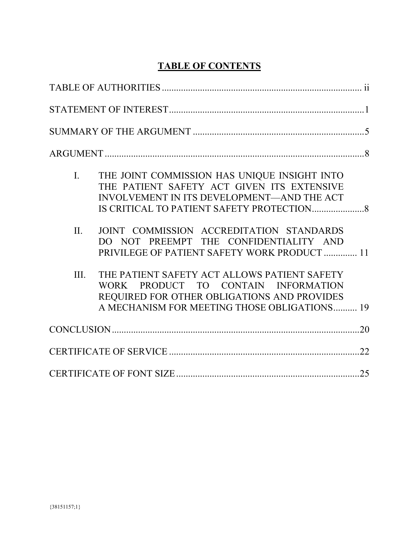# **TABLE OF CONTENTS**

| $\mathbf{L}$ | THE JOINT COMMISSION HAS UNIQUE INSIGHT INTO<br>THE PATIENT SAFETY ACT GIVEN ITS EXTENSIVE<br>INVOLVEMENT IN ITS DEVELOPMENT-AND THE ACT                                           |  |
|--------------|------------------------------------------------------------------------------------------------------------------------------------------------------------------------------------|--|
| II.          | JOINT COMMISSION ACCREDITATION STANDARDS<br>DO NOT PREEMPT THE CONFIDENTIALITY AND<br>PRIVILEGE OF PATIENT SAFETY WORK PRODUCT  11                                                 |  |
| III.         | THE PATIENT SAFETY ACT ALLOWS PATIENT SAFETY<br>WORK PRODUCT TO CONTAIN INFORMATION<br>REQUIRED FOR OTHER OBLIGATIONS AND PROVIDES<br>A MECHANISM FOR MEETING THOSE OBLIGATIONS 19 |  |
|              |                                                                                                                                                                                    |  |
|              |                                                                                                                                                                                    |  |
|              |                                                                                                                                                                                    |  |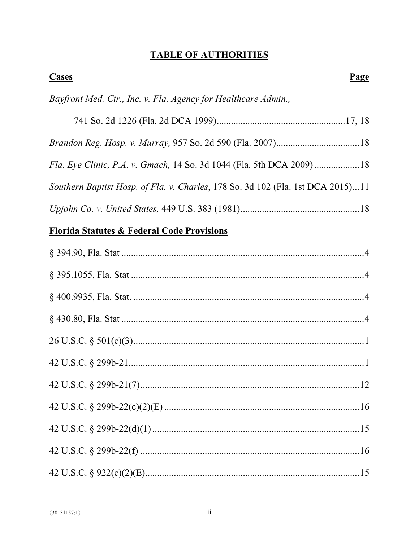# **TABLE OF AUTHORITIES**

| <b>Cases</b>                                                                    | Page |
|---------------------------------------------------------------------------------|------|
| Bayfront Med. Ctr., Inc. v. Fla. Agency for Healthcare Admin.,                  |      |
|                                                                                 |      |
|                                                                                 |      |
| Fla. Eye Clinic, P.A. v. Gmach, 14 So. 3d 1044 (Fla. 5th DCA 2009)18            |      |
| Southern Baptist Hosp. of Fla. v. Charles, 178 So. 3d 102 (Fla. 1st DCA 2015)11 |      |
|                                                                                 |      |
| <b>Florida Statutes &amp; Federal Code Provisions</b>                           |      |
|                                                                                 |      |
|                                                                                 |      |
|                                                                                 |      |
|                                                                                 |      |
|                                                                                 |      |
|                                                                                 |      |
|                                                                                 |      |
|                                                                                 |      |
|                                                                                 |      |
|                                                                                 |      |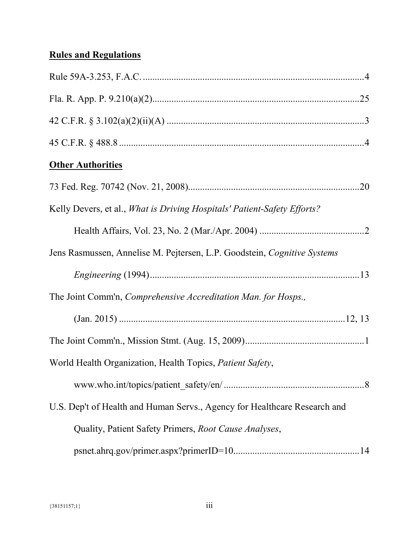# **Rules and Regulations**

| <b>Other Authorities</b>                                                  |  |
|---------------------------------------------------------------------------|--|
|                                                                           |  |
| Kelly Devers, et al., What is Driving Hospitals' Patient-Safety Efforts?  |  |
|                                                                           |  |
| Jens Rasmussen, Annelise M. Pejtersen, L.P. Goodstein, Cognitive Systems  |  |
|                                                                           |  |
| The Joint Comm'n, Comprehensive Accreditation Man. for Hosps.,            |  |
|                                                                           |  |
|                                                                           |  |
| World Health Organization, Health Topics, Patient Safety,                 |  |
|                                                                           |  |
| U.S. Dep't of Health and Human Servs., Agency for Healthcare Research and |  |
| Quality, Patient Safety Primers, Root Cause Analyses,                     |  |
|                                                                           |  |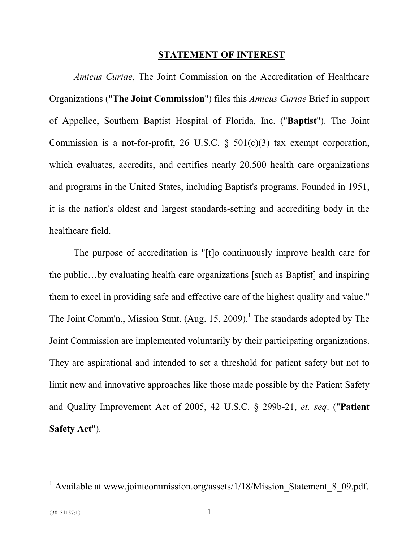#### **STATEMENT OF INTEREST**

*Amicus Curiae*, The Joint Commission on the Accreditation of Healthcare Organizations ("**The Joint Commission**") files this *Amicus Curiae* Brief in support of Appellee, Southern Baptist Hospital of Florida, Inc. ("**Baptist**"). The Joint Commission is a not-for-profit, 26 U.S.C.  $\S$  501(c)(3) tax exempt corporation, which evaluates, accredits, and certifies nearly 20,500 health care organizations and programs in the United States, including Baptist's programs. Founded in 1951, it is the nation's oldest and largest standards-setting and accrediting body in the healthcare field.

The purpose of accreditation is "[t]o continuously improve health care for the public…by evaluating health care organizations [such as Baptist] and inspiring them to excel in providing safe and effective care of the highest quality and value." The Joint Comm'n., Mission Stmt. (Aug. 15, 2009).<sup>1</sup> The standards adopted by The Joint Commission are implemented voluntarily by their participating organizations. They are aspirational and intended to set a threshold for patient safety but not to limit new and innovative approaches like those made possible by the Patient Safety and Quality Improvement Act of 2005, 42 U.S.C. § 299b-21, *et. seq*. ("**Patient Safety Act**").

<sup>&</sup>lt;sup>1</sup> Available at www.jointcommission.org/assets/1/18/Mission\_Statement\_8\_09.pdf.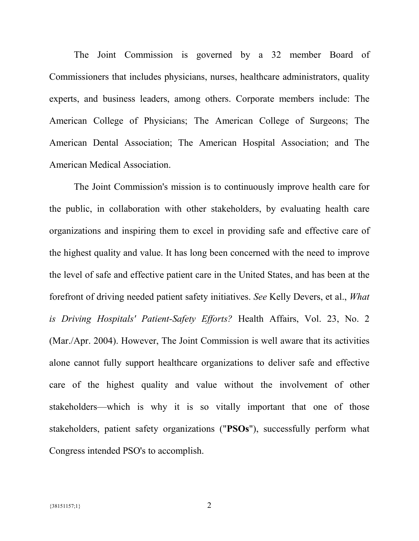The Joint Commission is governed by a 32 member Board of Commissioners that includes physicians, nurses, healthcare administrators, quality experts, and business leaders, among others. Corporate members include: The American College of Physicians; The American College of Surgeons; The American Dental Association; The American Hospital Association; and The American Medical Association.

The Joint Commission's mission is to continuously improve health care for the public, in collaboration with other stakeholders, by evaluating health care organizations and inspiring them to excel in providing safe and effective care of the highest quality and value. It has long been concerned with the need to improve the level of safe and effective patient care in the United States, and has been at the forefront of driving needed patient safety initiatives. *See* Kelly Devers, et al., *What is Driving Hospitals' Patient-Safety Efforts?* Health Affairs, Vol. 23, No. 2 (Mar./Apr. 2004). However, The Joint Commission is well aware that its activities alone cannot fully support healthcare organizations to deliver safe and effective care of the highest quality and value without the involvement of other stakeholders—which is why it is so vitally important that one of those stakeholders, patient safety organizations ("**PSOs**"), successfully perform what Congress intended PSO's to accomplish.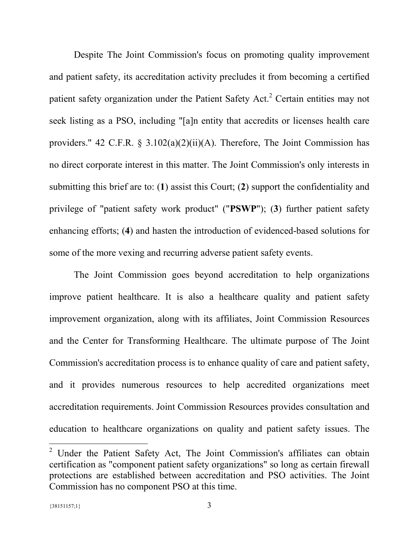Despite The Joint Commission's focus on promoting quality improvement and patient safety, its accreditation activity precludes it from becoming a certified patient safety organization under the Patient Safety Act.<sup>2</sup> Certain entities may not seek listing as a PSO, including "[a]n entity that accredits or licenses health care providers." 42 C.F.R.  $\S$  3.102(a)(2)(ii)(A). Therefore, The Joint Commission has no direct corporate interest in this matter. The Joint Commission's only interests in submitting this brief are to: (**1**) assist this Court; (**2**) support the confidentiality and privilege of "patient safety work product" ("**PSWP**"); (**3**) further patient safety enhancing efforts; (**4**) and hasten the introduction of evidenced-based solutions for some of the more vexing and recurring adverse patient safety events.

The Joint Commission goes beyond accreditation to help organizations improve patient healthcare. It is also a healthcare quality and patient safety improvement organization, along with its affiliates, Joint Commission Resources and the Center for Transforming Healthcare. The ultimate purpose of The Joint Commission's accreditation process is to enhance quality of care and patient safety, and it provides numerous resources to help accredited organizations meet accreditation requirements. Joint Commission Resources provides consultation and education to healthcare organizations on quality and patient safety issues. The

<sup>2</sup> Under the Patient Safety Act, The Joint Commission's affiliates can obtain certification as "component patient safety organizations" so long as certain firewall protections are established between accreditation and PSO activities. The Joint Commission has no component PSO at this time.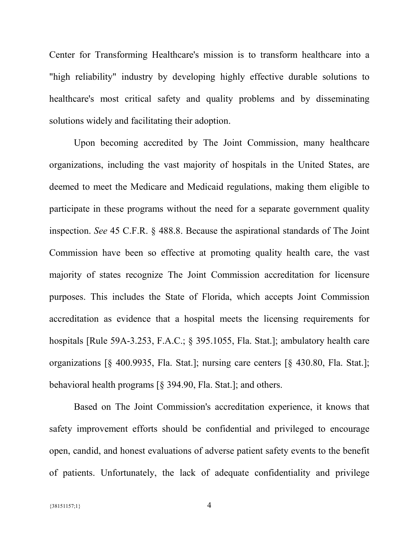Center for Transforming Healthcare's mission is to transform healthcare into a "high reliability" industry by developing highly effective durable solutions to healthcare's most critical safety and quality problems and by disseminating solutions widely and facilitating their adoption.

Upon becoming accredited by The Joint Commission, many healthcare organizations, including the vast majority of hospitals in the United States, are deemed to meet the Medicare and Medicaid regulations, making them eligible to participate in these programs without the need for a separate government quality inspection. *See* 45 C.F.R. § 488.8. Because the aspirational standards of The Joint Commission have been so effective at promoting quality health care, the vast majority of states recognize The Joint Commission accreditation for licensure purposes. This includes the State of Florida, which accepts Joint Commission accreditation as evidence that a hospital meets the licensing requirements for hospitals [Rule 59A-3.253, F.A.C.; § 395.1055, Fla. Stat.]; ambulatory health care organizations [§ 400.9935, Fla. Stat.]; nursing care centers [§ 430.80, Fla. Stat.]; behavioral health programs [§ 394.90, Fla. Stat.]; and others.

Based on The Joint Commission's accreditation experience, it knows that safety improvement efforts should be confidential and privileged to encourage open, candid, and honest evaluations of adverse patient safety events to the benefit of patients. Unfortunately, the lack of adequate confidentiality and privilege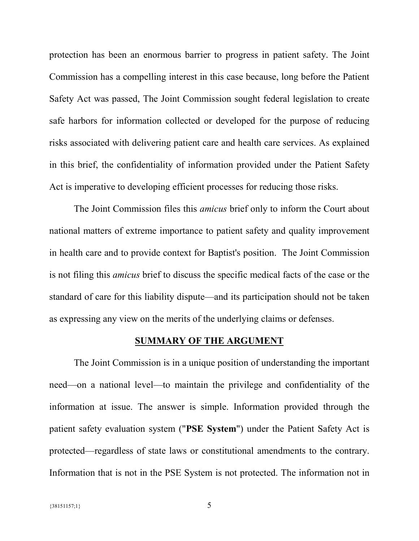protection has been an enormous barrier to progress in patient safety. The Joint Commission has a compelling interest in this case because, long before the Patient Safety Act was passed, The Joint Commission sought federal legislation to create safe harbors for information collected or developed for the purpose of reducing risks associated with delivering patient care and health care services. As explained in this brief, the confidentiality of information provided under the Patient Safety Act is imperative to developing efficient processes for reducing those risks.

The Joint Commission files this *amicus* brief only to inform the Court about national matters of extreme importance to patient safety and quality improvement in health care and to provide context for Baptist's position. The Joint Commission is not filing this *amicus* brief to discuss the specific medical facts of the case or the standard of care for this liability dispute—and its participation should not be taken as expressing any view on the merits of the underlying claims or defenses.

#### **SUMMARY OF THE ARGUMENT**

The Joint Commission is in a unique position of understanding the important need—on a national level—to maintain the privilege and confidentiality of the information at issue. The answer is simple. Information provided through the patient safety evaluation system ("**PSE System**") under the Patient Safety Act is protected—regardless of state laws or constitutional amendments to the contrary. Information that is not in the PSE System is not protected. The information not in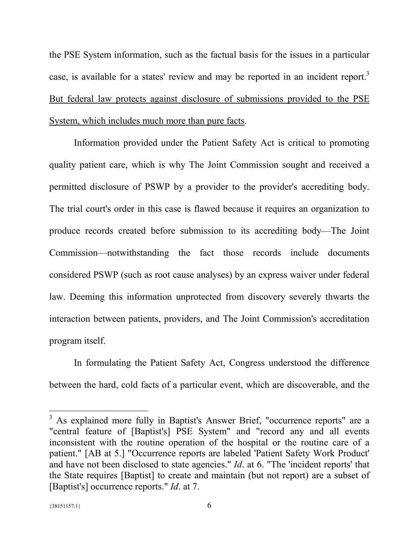the PSE System information, such as the factual basis for the issues in a particular case, is available for a states' review and may be reported in an incident report.<sup>3</sup> But federal law protects against disclosure of submissions provided to the PSE System, which includes much more than pure facts.

Information provided under the Patient Safety Act is critical to promoting quality patient care, which is why The Joint Commission sought and received a permitted disclosure of PSWP by a provider to the provider's accrediting body. The trial court's order in this case is flawed because it requires an organization to produce records created before submission to its accrediting body—The Joint Commission—notwithstanding the fact those records include documents considered PSWP (such as root cause analyses) by an express waiver under federal law. Deeming this information unprotected from discovery severely thwarts the interaction between patients, providers, and The Joint Commission's accreditation program itself.

In formulating the Patient Safety Act, Congress understood the difference between the hard, cold facts of a particular event, which are discoverable, and the

<sup>&</sup>lt;sup>3</sup> As explained more fully in Baptist's Answer Brief, "occurrence reports" are a "central feature of [Baptist's] PSE System" and "record any and all events inconsistent with the routine operation of the hospital or the routine care of a patient." [AB at 5.] "Occurrence reports are labeled 'Patient Safety Work Product' and have not been disclosed to state agencies." *Id*. at 6. "The 'incident reports' that the State requires [Baptist] to create and maintain (but not report) are a subset of [Baptist's] occurrence reports." *Id*. at 7.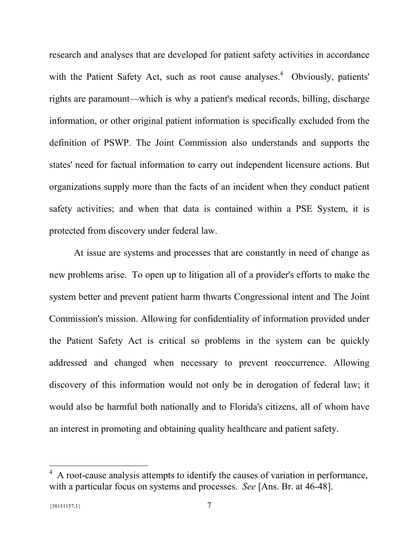research and analyses that are developed for patient safety activities in accordance with the Patient Safety Act, such as root cause analyses.<sup>4</sup> Obviously, patients' rights are paramount—which is why a patient's medical records, billing, discharge information, or other original patient information is specifically excluded from the definition of PSWP. The Joint Commission also understands and supports the states' need for factual information to carry out independent licensure actions. But organizations supply more than the facts of an incident when they conduct patient safety activities; and when that data is contained within a PSE System, it is protected from discovery under federal law.

At issue are systems and processes that are constantly in need of change as new problems arise. To open up to litigation all of a provider's efforts to make the system better and prevent patient harm thwarts Congressional intent and The Joint Commission's mission. Allowing for confidentiality of information provided under the Patient Safety Act is critical so problems in the system can be quickly addressed and changed when necessary to prevent reoccurrence. Allowing discovery of this information would not only be in derogation of federal law; it would also be harmful both nationally and to Florida's citizens, all of whom have an interest in promoting and obtaining quality healthcare and patient safety.

<sup>4</sup> A root-cause analysis attempts to identify the causes of variation in performance, with a particular focus on systems and processes. *See* [Ans. Br. at 46-48].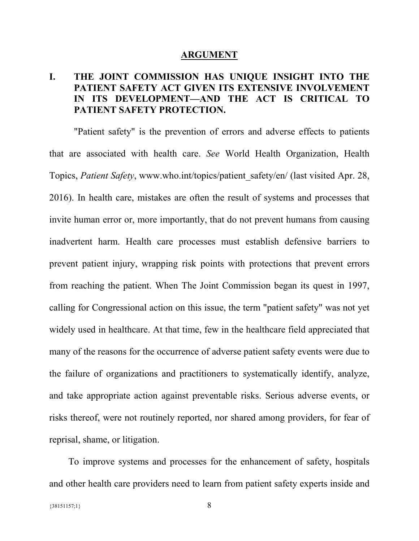#### **ARGUMENT**

# **I. THE JOINT COMMISSION HAS UNIQUE INSIGHT INTO THE PATIENT SAFETY ACT GIVEN ITS EXTENSIVE INVOLVEMENT IN ITS DEVELOPMENT—AND THE ACT IS CRITICAL TO PATIENT SAFETY PROTECTION.**

"Patient safety" is the prevention of errors and adverse effects to patients that are associated with health care. *See* World Health Organization, Health Topics, *Patient Safety*, www.who.int/topics/patient\_safety/en/ (last visited Apr. 28, 2016). In health care, mistakes are often the result of systems and processes that invite human error or, more importantly, that do not prevent humans from causing inadvertent harm. Health care processes must establish defensive barriers to prevent patient injury, wrapping risk points with protections that prevent errors from reaching the patient. When The Joint Commission began its quest in 1997, calling for Congressional action on this issue, the term "patient safety" was not yet widely used in healthcare. At that time, few in the healthcare field appreciated that many of the reasons for the occurrence of adverse patient safety events were due to the failure of organizations and practitioners to systematically identify, analyze, and take appropriate action against preventable risks. Serious adverse events, or risks thereof, were not routinely reported, nor shared among providers, for fear of reprisal, shame, or litigation.

To improve systems and processes for the enhancement of safety, hospitals and other health care providers need to learn from patient safety experts inside and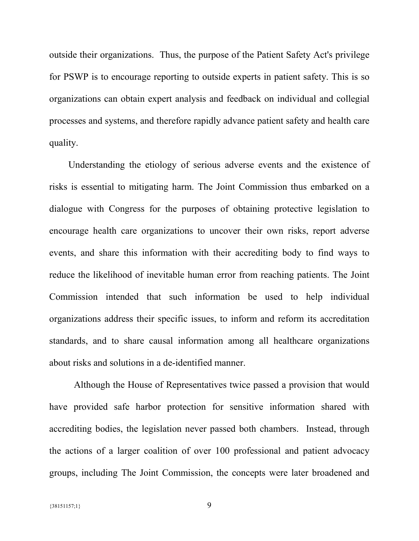outside their organizations. Thus, the purpose of the Patient Safety Act's privilege for PSWP is to encourage reporting to outside experts in patient safety. This is so organizations can obtain expert analysis and feedback on individual and collegial processes and systems, and therefore rapidly advance patient safety and health care quality.

Understanding the etiology of serious adverse events and the existence of risks is essential to mitigating harm. The Joint Commission thus embarked on a dialogue with Congress for the purposes of obtaining protective legislation to encourage health care organizations to uncover their own risks, report adverse events, and share this information with their accrediting body to find ways to reduce the likelihood of inevitable human error from reaching patients. The Joint Commission intended that such information be used to help individual organizations address their specific issues, to inform and reform its accreditation standards, and to share causal information among all healthcare organizations about risks and solutions in a de-identified manner.

Although the House of Representatives twice passed a provision that would have provided safe harbor protection for sensitive information shared with accrediting bodies, the legislation never passed both chambers. Instead, through the actions of a larger coalition of over 100 professional and patient advocacy groups, including The Joint Commission, the concepts were later broadened and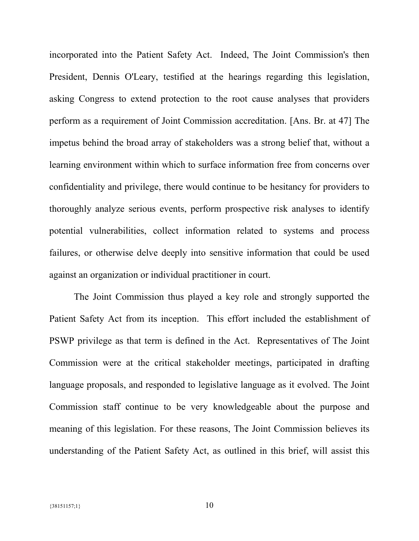incorporated into the Patient Safety Act. Indeed, The Joint Commission's then President, Dennis O'Leary, testified at the hearings regarding this legislation, asking Congress to extend protection to the root cause analyses that providers perform as a requirement of Joint Commission accreditation. [Ans. Br. at 47] The impetus behind the broad array of stakeholders was a strong belief that, without a learning environment within which to surface information free from concerns over confidentiality and privilege, there would continue to be hesitancy for providers to thoroughly analyze serious events, perform prospective risk analyses to identify potential vulnerabilities, collect information related to systems and process failures, or otherwise delve deeply into sensitive information that could be used against an organization or individual practitioner in court.

The Joint Commission thus played a key role and strongly supported the Patient Safety Act from its inception. This effort included the establishment of PSWP privilege as that term is defined in the Act. Representatives of The Joint Commission were at the critical stakeholder meetings, participated in drafting language proposals, and responded to legislative language as it evolved. The Joint Commission staff continue to be very knowledgeable about the purpose and meaning of this legislation. For these reasons, The Joint Commission believes its understanding of the Patient Safety Act, as outlined in this brief, will assist this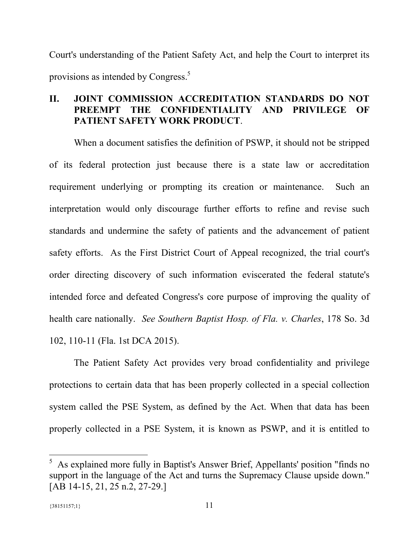Court's understanding of the Patient Safety Act, and help the Court to interpret its provisions as intended by Congress.<sup>5</sup>

# **II. JOINT COMMISSION ACCREDITATION STANDARDS DO NOT PREEMPT THE CONFIDENTIALITY AND PRIVILEGE OF PATIENT SAFETY WORK PRODUCT**.

When a document satisfies the definition of PSWP, it should not be stripped of its federal protection just because there is a state law or accreditation requirement underlying or prompting its creation or maintenance. Such an interpretation would only discourage further efforts to refine and revise such standards and undermine the safety of patients and the advancement of patient safety efforts. As the First District Court of Appeal recognized, the trial court's order directing discovery of such information eviscerated the federal statute's intended force and defeated Congress's core purpose of improving the quality of health care nationally. *See Southern Baptist Hosp. of Fla. v. Charles*, 178 So. 3d 102, 110-11 (Fla. 1st DCA 2015).

The Patient Safety Act provides very broad confidentiality and privilege protections to certain data that has been properly collected in a special collection system called the PSE System, as defined by the Act. When that data has been properly collected in a PSE System, it is known as PSWP, and it is entitled to

<sup>5</sup> As explained more fully in Baptist's Answer Brief, Appellants' position "finds no support in the language of the Act and turns the Supremacy Clause upside down." [AB 14-15, 21, 25 n.2, 27-29.]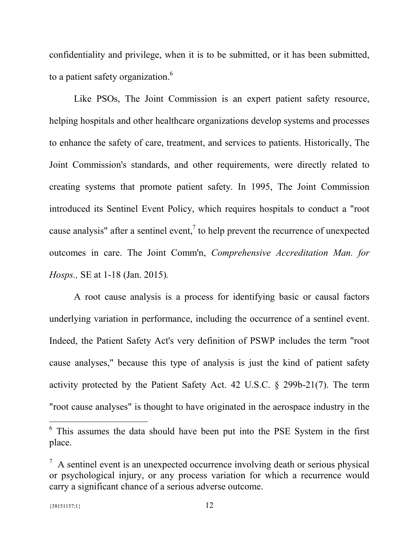confidentiality and privilege, when it is to be submitted, or it has been submitted, to a patient safety organization.<sup>6</sup>

Like PSOs, The Joint Commission is an expert patient safety resource, helping hospitals and other healthcare organizations develop systems and processes to enhance the safety of care, treatment, and services to patients. Historically, The Joint Commission's standards, and other requirements, were directly related to creating systems that promote patient safety. In 1995, The Joint Commission introduced its Sentinel Event Policy, which requires hospitals to conduct a "root cause analysis" after a sentinel event,<sup>7</sup> to help prevent the recurrence of unexpected outcomes in care. The Joint Comm'n, *Comprehensive Accreditation Man. for Hosps.,* SE at 1-18 (Jan. 2015)*.*

A root cause analysis is a process for identifying basic or causal factors underlying variation in performance, including the occurrence of a sentinel event. Indeed, the Patient Safety Act's very definition of PSWP includes the term "root cause analyses," because this type of analysis is just the kind of patient safety activity protected by the Patient Safety Act. 42 U.S.C. § 299b-21(7). The term "root cause analyses" is thought to have originated in the aerospace industry in the

<sup>&</sup>lt;sup>6</sup> This assumes the data should have been put into the PSE System in the first place.

 $<sup>7</sup>$  A sentinel event is an unexpected occurrence involving death or serious physical</sup> or psychological injury, or any process variation for which a recurrence would carry a significant chance of a serious adverse outcome.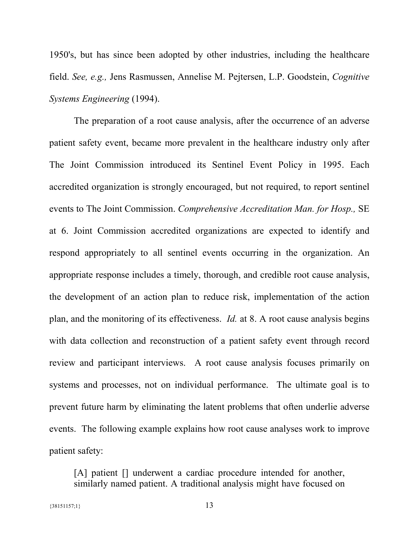1950's, but has since been adopted by other industries, including the healthcare field. *See, e.g.,* Jens Rasmussen, Annelise M. Pejtersen, L.P. Goodstein, *Cognitive Systems Engineering* (1994).

The preparation of a root cause analysis, after the occurrence of an adverse patient safety event, became more prevalent in the healthcare industry only after The Joint Commission introduced its Sentinel Event Policy in 1995. Each accredited organization is strongly encouraged, but not required, to report sentinel events to The Joint Commission. *Comprehensive Accreditation Man. for Hosp.,* SE at 6. Joint Commission accredited organizations are expected to identify and respond appropriately to all sentinel events occurring in the organization. An appropriate response includes a timely, thorough, and credible root cause analysis, the development of an action plan to reduce risk, implementation of the action plan, and the monitoring of its effectiveness. *Id.* at 8. A root cause analysis begins with data collection and reconstruction of a patient safety event through record review and participant interviews. A root cause analysis focuses primarily on systems and processes, not on individual performance. The ultimate goal is to prevent future harm by eliminating the latent problems that often underlie adverse events. The following example explains how root cause analyses work to improve patient safety:

[A] patient [] underwent a cardiac procedure intended for another, similarly named patient. A traditional analysis might have focused on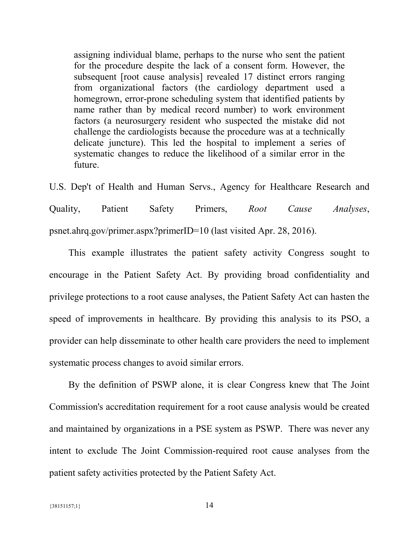assigning individual blame, perhaps to the nurse who sent the patient for the procedure despite the lack of a consent form. However, the subsequent [root cause analysis] revealed 17 distinct errors ranging from organizational factors (the cardiology department used a homegrown, error-prone scheduling system that identified patients by name rather than by medical record number) to work environment factors (a neurosurgery resident who suspected the mistake did not challenge the cardiologists because the procedure was at a technically delicate juncture). This led the hospital to implement a series of systematic changes to reduce the likelihood of a similar error in the future.

U.S. Dep't of Health and Human Servs., Agency for Healthcare Research and Quality, Patient Safety Primers, *Root Cause Analyses*, psnet.ahrq.gov/primer.aspx?primerID=10 (last visited Apr. 28, 2016).

This example illustrates the patient safety activity Congress sought to encourage in the Patient Safety Act. By providing broad confidentiality and privilege protections to a root cause analyses, the Patient Safety Act can hasten the speed of improvements in healthcare. By providing this analysis to its PSO, a provider can help disseminate to other health care providers the need to implement systematic process changes to avoid similar errors.

By the definition of PSWP alone, it is clear Congress knew that The Joint Commission's accreditation requirement for a root cause analysis would be created and maintained by organizations in a PSE system as PSWP. There was never any intent to exclude The Joint Commission-required root cause analyses from the patient safety activities protected by the Patient Safety Act.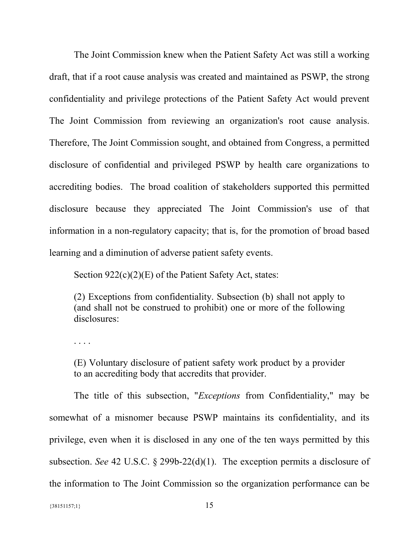The Joint Commission knew when the Patient Safety Act was still a working draft, that if a root cause analysis was created and maintained as PSWP, the strong confidentiality and privilege protections of the Patient Safety Act would prevent The Joint Commission from reviewing an organization's root cause analysis. Therefore, The Joint Commission sought, and obtained from Congress, a permitted disclosure of confidential and privileged PSWP by health care organizations to accrediting bodies. The broad coalition of stakeholders supported this permitted disclosure because they appreciated The Joint Commission's use of that information in a non-regulatory capacity; that is, for the promotion of broad based learning and a diminution of adverse patient safety events.

Section 922(c)(2)(E) of the Patient Safety Act, states:

(2) Exceptions from confidentiality. Subsection (b) shall not apply to (and shall not be construed to prohibit) one or more of the following disclosures:

. . . .

(E) Voluntary disclosure of patient safety work product by a provider to an accrediting body that accredits that provider.

The title of this subsection, "*Exceptions* from Confidentiality," may be somewhat of a misnomer because PSWP maintains its confidentiality, and its privilege, even when it is disclosed in any one of the ten ways permitted by this subsection. *See* 42 U.S.C. § 299b-22(d)(1). The exception permits a disclosure of the information to The Joint Commission so the organization performance can be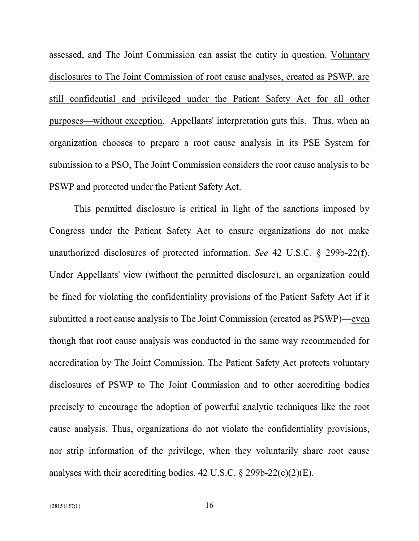assessed, and The Joint Commission can assist the entity in question. Voluntary disclosures to The Joint Commission of root cause analyses, created as PSWP, are still confidential and privileged under the Patient Safety Act for all other purposes—without exception. Appellants' interpretation guts this. Thus, when an organization chooses to prepare a root cause analysis in its PSE System for submission to a PSO, The Joint Commission considers the root cause analysis to be PSWP and protected under the Patient Safety Act.

This permitted disclosure is critical in light of the sanctions imposed by Congress under the Patient Safety Act to ensure organizations do not make unauthorized disclosures of protected information. *See* 42 U.S.C. § 299b-22(f). Under Appellants' view (without the permitted disclosure), an organization could be fined for violating the confidentiality provisions of the Patient Safety Act if it submitted a root cause analysis to The Joint Commission (created as PSWP)—even though that root cause analysis was conducted in the same way recommended for accreditation by The Joint Commission. The Patient Safety Act protects voluntary disclosures of PSWP to The Joint Commission and to other accrediting bodies precisely to encourage the adoption of powerful analytic techniques like the root cause analysis. Thus, organizations do not violate the confidentiality provisions, nor strip information of the privilege, when they voluntarily share root cause analyses with their accrediting bodies.  $42 \text{ U.S.C.}$  §  $299b-22(c)(2)(E)$ .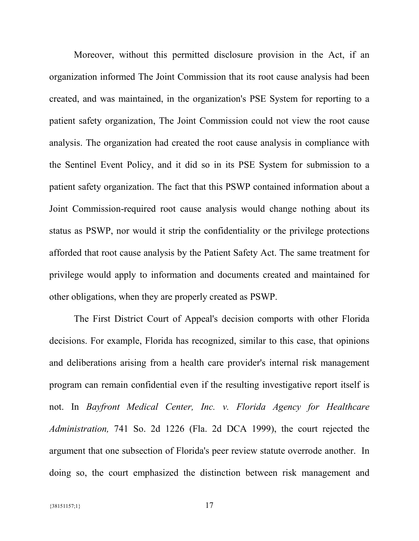Moreover, without this permitted disclosure provision in the Act, if an organization informed The Joint Commission that its root cause analysis had been created, and was maintained, in the organization's PSE System for reporting to a patient safety organization, The Joint Commission could not view the root cause analysis. The organization had created the root cause analysis in compliance with the Sentinel Event Policy, and it did so in its PSE System for submission to a patient safety organization. The fact that this PSWP contained information about a Joint Commission-required root cause analysis would change nothing about its status as PSWP, nor would it strip the confidentiality or the privilege protections afforded that root cause analysis by the Patient Safety Act. The same treatment for privilege would apply to information and documents created and maintained for other obligations, when they are properly created as PSWP.

The First District Court of Appeal's decision comports with other Florida decisions. For example, Florida has recognized, similar to this case, that opinions and deliberations arising from a health care provider's internal risk management program can remain confidential even if the resulting investigative report itself is not. In *Bayfront Medical Center, Inc. v. Florida Agency for Healthcare Administration,* 741 So. 2d 1226 (Fla. 2d DCA 1999), the court rejected the argument that one subsection of Florida's peer review statute overrode another. In doing so, the court emphasized the distinction between risk management and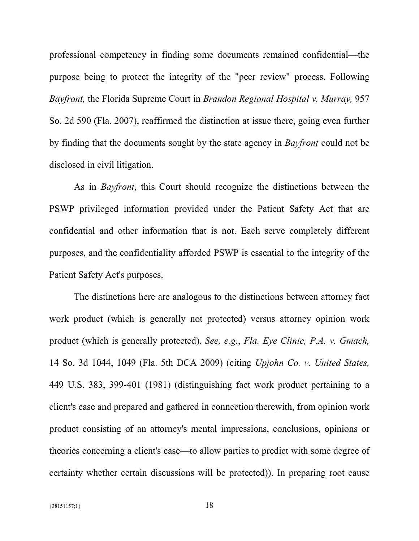professional competency in finding some documents remained confidential—the purpose being to protect the integrity of the "peer review" process. Following *Bayfront,* the Florida Supreme Court in *Brandon Regional Hospital v. Murray,* 957 So. 2d 590 (Fla. 2007), reaffirmed the distinction at issue there, going even further by finding that the documents sought by the state agency in *Bayfront* could not be disclosed in civil litigation.

As in *Bayfront*, this Court should recognize the distinctions between the PSWP privileged information provided under the Patient Safety Act that are confidential and other information that is not. Each serve completely different purposes, and the confidentiality afforded PSWP is essential to the integrity of the Patient Safety Act's purposes.

The distinctions here are analogous to the distinctions between attorney fact work product (which is generally not protected) versus attorney opinion work product (which is generally protected). *See, e.g.*, *Fla. Eye Clinic, P.A. v. Gmach,* 14 So. 3d 1044, 1049 (Fla. 5th DCA 2009) (citing *Upjohn Co. v. United States,* 449 U.S. 383, 399-401 (1981) (distinguishing fact work product pertaining to a client's case and prepared and gathered in connection therewith, from opinion work product consisting of an attorney's mental impressions, conclusions, opinions or theories concerning a client's case—to allow parties to predict with some degree of certainty whether certain discussions will be protected)). In preparing root cause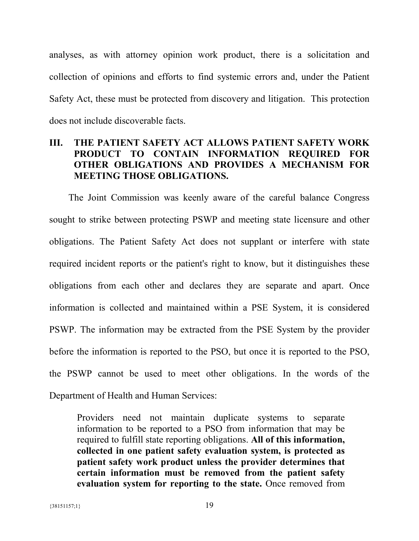analyses, as with attorney opinion work product, there is a solicitation and collection of opinions and efforts to find systemic errors and, under the Patient Safety Act, these must be protected from discovery and litigation. This protection does not include discoverable facts.

## **III. THE PATIENT SAFETY ACT ALLOWS PATIENT SAFETY WORK PRODUCT TO CONTAIN INFORMATION REQUIRED FOR OTHER OBLIGATIONS AND PROVIDES A MECHANISM FOR MEETING THOSE OBLIGATIONS.**

The Joint Commission was keenly aware of the careful balance Congress sought to strike between protecting PSWP and meeting state licensure and other obligations. The Patient Safety Act does not supplant or interfere with state required incident reports or the patient's right to know, but it distinguishes these obligations from each other and declares they are separate and apart. Once information is collected and maintained within a PSE System, it is considered PSWP. The information may be extracted from the PSE System by the provider before the information is reported to the PSO, but once it is reported to the PSO, the PSWP cannot be used to meet other obligations. In the words of the Department of Health and Human Services:

Providers need not maintain duplicate systems to separate information to be reported to a PSO from information that may be required to fulfill state reporting obligations. **All of this information, collected in one patient safety evaluation system, is protected as patient safety work product unless the provider determines that certain information must be removed from the patient safety evaluation system for reporting to the state.** Once removed from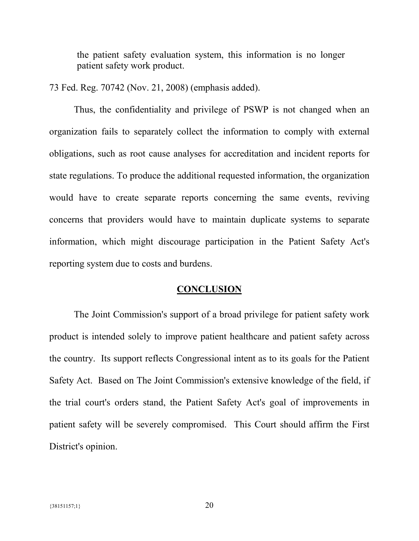the patient safety evaluation system, this information is no longer patient safety work product.

73 Fed. Reg. 70742 (Nov. 21, 2008) (emphasis added).

Thus, the confidentiality and privilege of PSWP is not changed when an organization fails to separately collect the information to comply with external obligations, such as root cause analyses for accreditation and incident reports for state regulations. To produce the additional requested information, the organization would have to create separate reports concerning the same events, reviving concerns that providers would have to maintain duplicate systems to separate information, which might discourage participation in the Patient Safety Act's reporting system due to costs and burdens.

#### **CONCLUSION**

The Joint Commission's support of a broad privilege for patient safety work product is intended solely to improve patient healthcare and patient safety across the country. Its support reflects Congressional intent as to its goals for the Patient Safety Act. Based on The Joint Commission's extensive knowledge of the field, if the trial court's orders stand, the Patient Safety Act's goal of improvements in patient safety will be severely compromised. This Court should affirm the First District's opinion.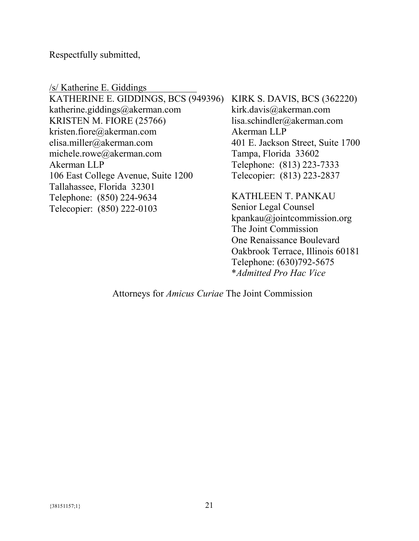Respectfully submitted,

/s/ Katherine E. Giddings KATHERINE E. GIDDINGS, BCS (949396) KIRK S. DAVIS, BCS (362220) katherine.giddings@akerman.com KRISTEN M. FIORE (25766) kristen.fiore@akerman.com elisa.miller@akerman.com michele.rowe@akerman.com Akerman LLP 106 East College Avenue, Suite 1200 Tallahassee, Florida 32301 Telephone: (850) 224-9634 Telecopier: (850) 222-0103 kirk.davis@akerman.com lisa.schindler@akerman.com Akerman LLP 401 E. Jackson Street, Suite 1700 Tampa, Florida 33602 Telephone: (813) 223-7333 Telecopier: (813) 223-2837 KATHLEEN T. PANKAU Senior Legal Counsel

kpankau@jointcommission.org The Joint Commission One Renaissance Boulevard Oakbrook Terrace, Illinois 60181 Telephone: (630)792-5675 \**Admitted Pro Hac Vice*

Attorneys for *Amicus Curiae* The Joint Commission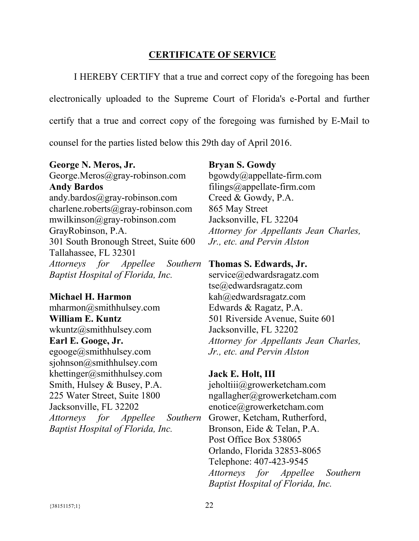## **CERTIFICATE OF SERVICE**

I HEREBY CERTIFY that a true and correct copy of the foregoing has been

electronically uploaded to the Supreme Court of Florida's e-Portal and further

certify that a true and correct copy of the foregoing was furnished by E-Mail to

counsel for the parties listed below this 29th day of April 2016.

#### **George N. Meros, Jr.**

George.Meros@gray-robinson.com **Andy Bardos** andy.bardos@gray-robinson.com charlene.roberts@gray-robinson.com mwilkinson@gray-robinson.com GrayRobinson, P.A. 301 South Bronough Street, Suite 600 Tallahassee, FL 32301 *Attorneys for Appellee Baptist Hospital of Florida, Inc.*

### **Michael H. Harmon**

mharmon@smithhulsey.com **William E. Kuntz** wkuntz@smithhulsey.com **Earl E. Googe, Jr.**  $egooge@smithhulsey.com$ sjohnson@smithhulsey.com khettinger@smithhulsey.com Smith, Hulsey & Busey, P.A. 225 Water Street, Suite 1800 Jacksonville, FL 32202 *Attorneys for Appellee Baptist Hospital of Florida, Inc.*

### **Bryan S. Gowdy**

bgowdy@appellate-firm.com filings@appellate-firm.com Creed & Gowdy, P.A. 865 May Street Jacksonville, FL 32204 *Attorney for Appellants Jean Charles, Jr., etc. and Pervin Alston*

### **Thomas S. Edwards, Jr.**

service@edwardsragatz.com tse@edwardsragatz.com kah@edwardsragatz.com Edwards & Ragatz, P.A. 501 Riverside Avenue, Suite 601 Jacksonville, FL 32202 *Attorney for Appellants Jean Charles, Jr., etc. and Pervin Alston*

## **Jack E. Holt, III** jeholtiii@growerketcham.com

ngallagher@growerketcham.com enotice@growerketcham.com Southern Grower, Ketcham, Rutherford, Bronson, Eide & Telan, P.A. Post Office Box 538065 Orlando, Florida 32853-8065 Telephone: 407-423-9545 *Attorneys for Appellee Southern Baptist Hospital of Florida, Inc.*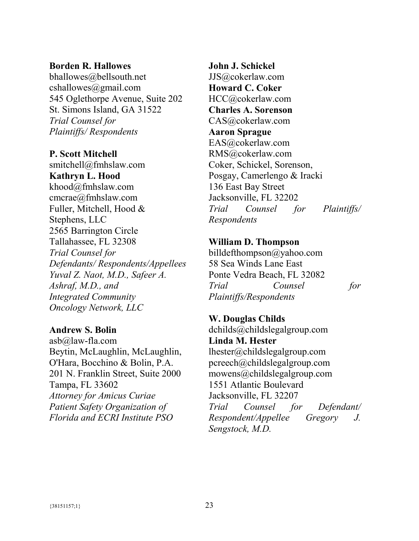#### **Borden R. Hallowes**

bhallowes@bellsouth.net cshallowes@gmail.com 545 Oglethorpe Avenue, Suite 202 St. Simons Island, GA 31522 *Trial Counsel for Plaintiffs/ Respondents*

#### **P. Scott Mitchell**

smitchell@fmhslaw.com **Kathryn L. Hood** khood@fmhslaw.com cmcrae@fmhslaw.com Fuller, Mitchell, Hood & Stephens, LLC 2565 Barrington Circle Tallahassee, FL 32308 *Trial Counsel for Defendants/ Respondents/Appellees Yuval Z. Naot, M.D., Safeer A. Ashraf, M.D., and Integrated Community Oncology Network, LLC*

#### **Andrew S. Bolin**

asb@law-fla.com Beytin, McLaughlin, McLaughlin, O'Hara, Bocchino & Bolin, P.A. 201 N. Franklin Street, Suite 2000 Tampa, FL 33602 *Attorney for Amicus Curiae Patient Safety Organization of Florida and ECRI Institute PSO*

**John J. Schickel** JJS@cokerlaw.com **Howard C. Coker** HCC@cokerlaw.com **Charles A. Sorenson** CAS@cokerlaw.com **Aaron Sprague** EAS@cokerlaw.com RMS@cokerlaw.com Coker, Schickel, Sorenson, Posgay, Camerlengo & Iracki 136 East Bay Street Jacksonville, FL 32202 *Trial Counsel for Plaintiffs/ Respondents*

### **William D. Thompson**

billdefthompson@yahoo.com 58 Sea Winds Lane East Ponte Vedra Beach, FL 32082 *Trial Counsel for Plaintiffs/Respondents*

**W. Douglas Childs** dchilds@childslegalgroup.com **Linda M. Hester** lhester@childslegalgroup.com pcreech@childslegalgroup.com mowens@childslegalgroup.com 1551 Atlantic Boulevard Jacksonville, FL 32207 *Trial Counsel for Defendant/ Respondent/Appellee Gregory J. Sengstock, M.D.*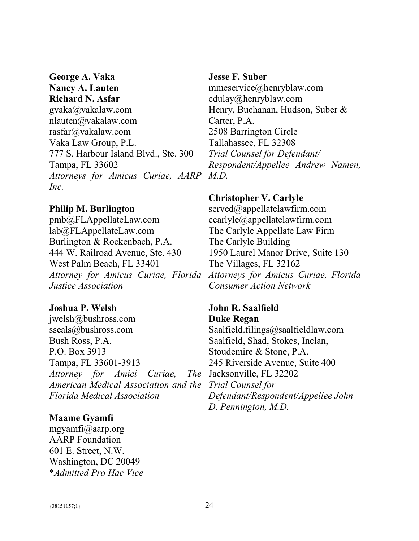# **George A. Vaka Nancy A. Lauten Richard N. Asfar** gvaka@vakalaw.com nlauten@vakalaw.com rasfar@vakalaw.com Vaka Law Group, P.L. 777 S. Harbour Island Blvd., Ste. 300 Tampa, FL 33602 *Attorneys for Amicus Curiae, AARP M.D. Inc.*

## **Philip M. Burlington**

pmb@FLAppellateLaw.com lab@FLAppellateLaw.com Burlington & Rockenbach, P.A. 444 W. Railroad Avenue, Ste. 430 West Palm Beach, FL 33401 *Attorney for Amicus Curiae, Florida Attorneys for Amicus Curiae, Florida Justice Association*

## **Joshua P. Welsh**

jwelsh@bushross.com sseals@bushross.com Bush Ross, P.A. P.O. Box 3913 Tampa, FL 33601-3913 *Attorney for Amici Curiae, American Medical Association and the Trial Counsel for Florida Medical Association*

## **Maame Gyamfi**

mgyamfi@aarp.org AARP Foundation 601 E. Street, N.W. Washington, DC 20049 \**Admitted Pro Hac Vice*

## **Jesse F. Suber**

mmeservice@henryblaw.com cdulay@henryblaw.com Henry, Buchanan, Hudson, Suber & Carter, P.A. 2508 Barrington Circle Tallahassee, FL 32308 *Trial Counsel for Defendant/ Respondent/Appellee Andrew Namen,*

## **Christopher V. Carlyle**

served@appellatelawfirm.com ccarlyle@appellatelawfirm.com The Carlyle Appellate Law Firm The Carlyle Building 1950 Laurel Manor Drive, Suite 130 The Villages, FL 32162 *Consumer Action Network*

## **John R. Saalfield Duke Regan**

Saalfield.filings@saalfieldlaw.com Saalfield, Shad, Stokes, Inclan, Stoudemire & Stone, P.A. 245 Riverside Avenue, Suite 400 The Jacksonville, FL 32202 *Defendant/Respondent/Appellee John D. Pennington, M.D.*